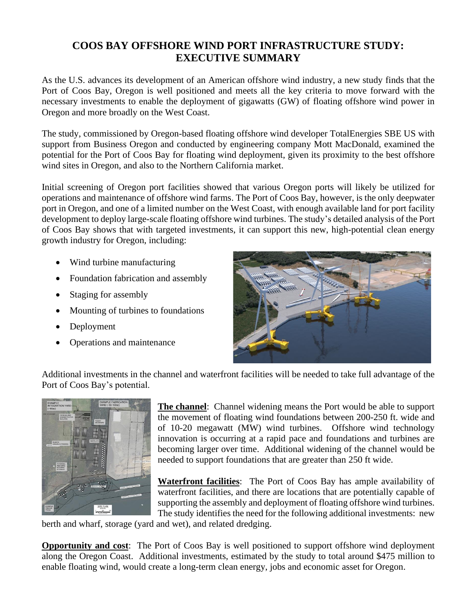## **COOS BAY OFFSHORE WIND PORT INFRASTRUCTURE STUDY: EXECUTIVE SUMMARY**

As the U.S. advances its development of an American offshore wind industry, a new study finds that the Port of Coos Bay, Oregon is well positioned and meets all the key criteria to move forward with the necessary investments to enable the deployment of gigawatts (GW) of floating offshore wind power in Oregon and more broadly on the West Coast.

The study, commissioned by Oregon-based floating offshore wind developer TotalEnergies SBE US with support from Business Oregon and conducted by engineering company Mott MacDonald, examined the potential for the Port of Coos Bay for floating wind deployment, given its proximity to the best offshore wind sites in Oregon, and also to the Northern California market.

Initial screening of Oregon port facilities showed that various Oregon ports will likely be utilized for operations and maintenance of offshore wind farms. The Port of Coos Bay, however, is the only deepwater port in Oregon, and one of a limited number on the West Coast, with enough available land for port facility development to deploy large-scale floating offshore wind turbines. The study's detailed analysis of the Port of Coos Bay shows that with targeted investments, it can support this new, high-potential clean energy growth industry for Oregon, including:

- Wind turbine manufacturing
- Foundation fabrication and assembly
- Staging for assembly
- Mounting of turbines to foundations
- Deployment
- Operations and maintenance



Additional investments in the channel and waterfront facilities will be needed to take full advantage of the Port of Coos Bay's potential.



**The channel**: Channel widening means the Port would be able to support the movement of floating wind foundations between 200-250 ft. wide and of 10-20 megawatt (MW) wind turbines. Offshore wind technology innovation is occurring at a rapid pace and foundations and turbines are becoming larger over time. Additional widening of the channel would be needed to support foundations that are greater than 250 ft wide.

**Waterfront facilities**: The Port of Coos Bay has ample availability of waterfront facilities, and there are locations that are potentially capable of supporting the assembly and deployment of floating offshore wind turbines. The study identifies the need for the following additional investments: new

berth and wharf, storage (yard and wet), and related dredging.

**Opportunity and cost**: The Port of Coos Bay is well positioned to support offshore wind deployment along the Oregon Coast. Additional investments, estimated by the study to total around \$475 million to enable floating wind, would create a long-term clean energy, jobs and economic asset for Oregon.